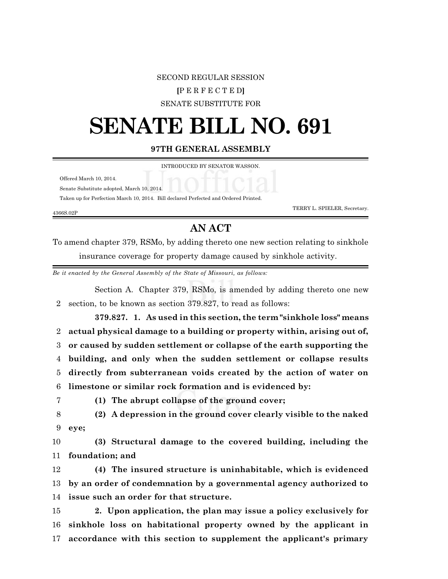## SECOND REGULAR SESSION

## **[**P E R F E C T E D**]**

SENATE SUBSTITUTE FOR

## **SENATE BILL NO. 691**

**97TH GENERAL ASSEMBLY**

INTRODUCED BY SENATOR WASSON.

Offered March 10, 2014.

Senate Substitute adopted, March 10, 2014.

Taken up for Perfection March 10, 2014. Bill declared Perfected and Ordered Printed.

4366S.02P

TERRY L. SPIELER, Secretary.

## **AN ACT**

To amend chapter 379, RSMo, by adding thereto one new section relating to sinkhole insurance coverage for property damage caused by sinkhole activity.

*Be it enacted by the General Assembly of the State of Missouri, as follows:*

Section A. Chapter 379, RSMo, is amended by adding thereto one new 2 section, to be known as section 379.827, to read as follows:

**379.827. 1. As used in this section, the term "sinkhole loss" means actual physical damage to a building or property within, arising out of, or caused by sudden settlement or collapse of the earth supporting the building, and only when the sudden settlement or collapse results directly from subterranean voids created by the action of water on limestone or similar rock formation and is evidenced by:**

7 **(1) The abrupt collapse of the ground cover;**

8 **(2) A depression in the ground cover clearly visible to the naked** 9 **eye;**

10 **(3) Structural damage to the covered building, including the** 11 **foundation; and**

12 **(4) The insured structure is uninhabitable, which is evidenced** 13 **by an order of condemnation by a governmental agency authorized to** 14 **issue such an order for that structure.**

15 **2. Upon application, the plan may issue a policy exclusively for** 16 **sinkhole loss on habitational property owned by the applicant in** 17 **accordance with this section to supplement the applicant's primary**